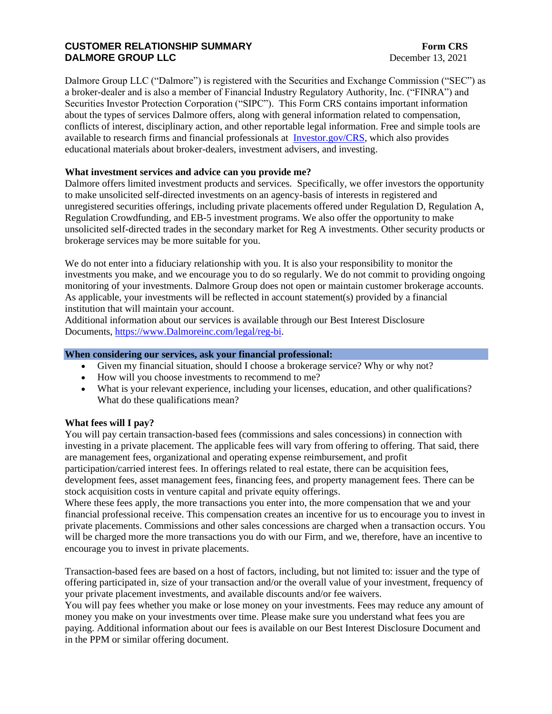# **CUSTOMER RELATIONSHIP SUMMARY FORM CRS DALMORE GROUP LLC** December 13, 2021

Dalmore Group LLC ("Dalmore") is registered with the Securities and Exchange Commission ("SEC") as a broker-dealer and is also a member of Financial Industry Regulatory Authority, Inc. ("FINRA") and Securities Investor Protection Corporation ("SIPC"). This Form CRS contains important information about the types of services Dalmore offers, along with general information related to compensation, conflicts of interest, disciplinary action, and other reportable legal information. Free and simple tools are available to research firms and financial professionals at [Investor.gov/CRS,](https://www.investor.gov/CRS) which also provides educational materials about broker-dealers, investment advisers, and investing.

# **What investment services and advice can you provide me?**

Dalmore offers limited investment products and services. Specifically, we offer investors the opportunity to make unsolicited self-directed investments on an agency-basis of interests in registered and unregistered securities offerings, including private placements offered under Regulation D, Regulation A, Regulation Crowdfunding, and EB-5 investment programs. We also offer the opportunity to make unsolicited self-directed trades in the secondary market for Reg A investments. Other security products or brokerage services may be more suitable for you.

We do not enter into a fiduciary relationship with you. It is also your responsibility to monitor the investments you make, and we encourage you to do so regularly. We do not commit to providing ongoing monitoring of your investments. Dalmore Group does not open or maintain customer brokerage accounts. As applicable, your investments will be reflected in account statement(s) provided by a financial institution that will maintain your account.

Additional information about our services is available through our Best Interest Disclosure Documents, [https://www.Dalmoreinc.com/legal/reg-bi.](https://www.dalmoreinc.com/legal/reg-bi)

## **When considering our services, ask your financial professional:**

- Given my financial situation, should I choose a brokerage service? Why or why not?
- How will you choose investments to recommend to me?
- What is your relevant experience, including your licenses, education, and other qualifications? What do these qualifications mean?

#### **What fees will I pay?**

You will pay certain transaction-based fees (commissions and sales concessions) in connection with investing in a private placement. The applicable fees will vary from offering to offering. That said, there are management fees, organizational and operating expense reimbursement, and profit participation/carried interest fees. In offerings related to real estate, there can be acquisition fees,

development fees, asset management fees, financing fees, and property management fees. There can be stock acquisition costs in venture capital and private equity offerings.

Where these fees apply, the more transactions you enter into, the more compensation that we and your financial professional receive. This compensation creates an incentive for us to encourage you to invest in private placements. Commissions and other sales concessions are charged when a transaction occurs. You will be charged more the more transactions you do with our Firm, and we, therefore, have an incentive to encourage you to invest in private placements.

Transaction-based fees are based on a host of factors, including, but not limited to: issuer and the type of offering participated in, size of your transaction and/or the overall value of your investment, frequency of your private placement investments, and available discounts and/or fee waivers.

You will pay fees whether you make or lose money on your investments. Fees may reduce any amount of money you make on your investments over time. Please make sure you understand what fees you are paying. Additional information about our fees is available on our Best Interest Disclosure Document and in the PPM or similar offering document.